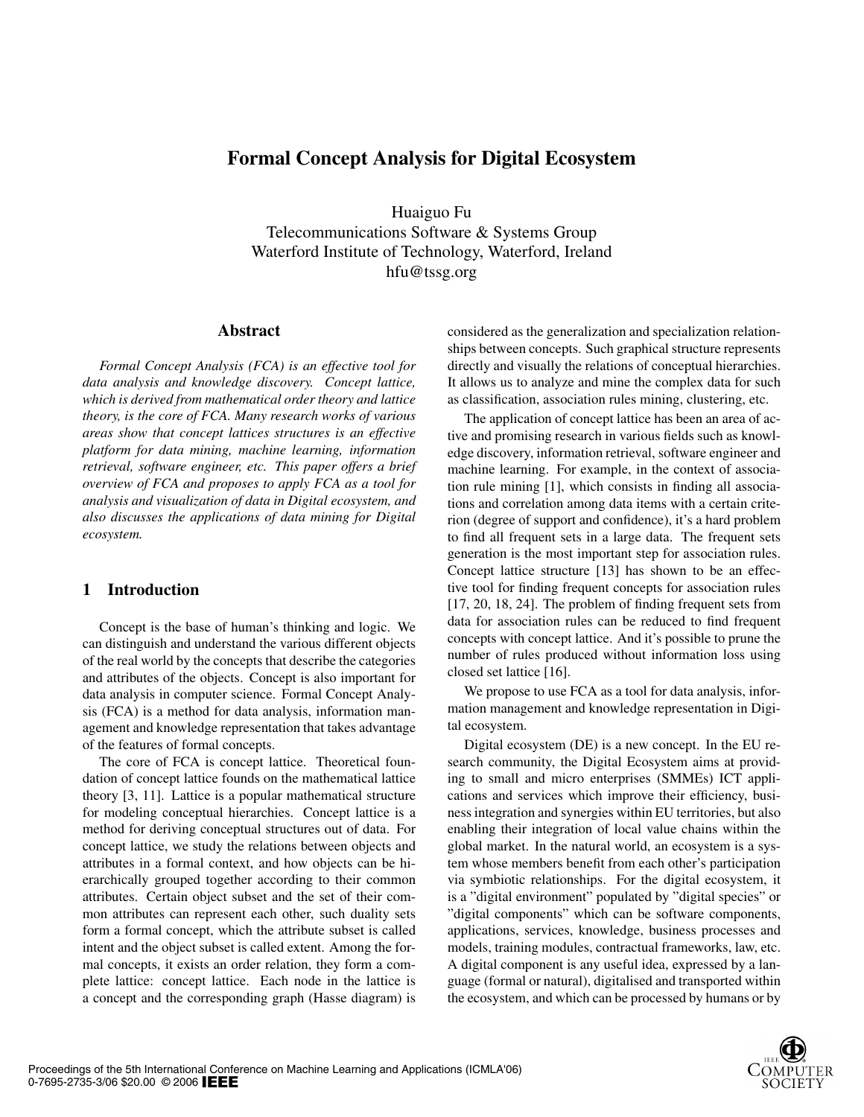# Formal Concept Analysis for Digital Ecosystem

Huaiguo Fu

Telecommunications Software & Systems Group Waterford Institute of Technology, Waterford, Ireland hfu@tssg.org

#### Abstract

*Formal Concept Analysis (FCA) is an effective tool for data analysis and knowledge discovery. Concept lattice, which is derived from mathematical order theory and lattice theory, is the core of FCA. Many research works of various areas show that concept lattices structures is an effective platform for data mining, machine learning, information retrieval, software engineer, etc. This paper offers a brief overview of FCA and proposes to apply FCA as a tool for analysis and visualization of data in Digital ecosystem, and also discusses the applications of data mining for Digital ecosystem.*

## 1 Introduction

Concept is the base of human's thinking and logic. We can distinguish and understand the various different objects of the real world by the concepts that describe the categories and attributes of the objects. Concept is also important for data analysis in computer science. Formal Concept Analysis (FCA) is a method for data analysis, information management and knowledge representation that takes advantage of the features of formal concepts.

The core of FCA is concept lattice. Theoretical foundation of concept lattice founds on the mathematical lattice theory [3, 11]. Lattice is a popular mathematical structure for modeling conceptual hierarchies. Concept lattice is a method for deriving conceptual structures out of data. For concept lattice, we study the relations between objects and attributes in a formal context, and how objects can be hierarchically grouped together according to their common attributes. Certain object subset and the set of their common attributes can represent each other, such duality sets form a formal concept, which the attribute subset is called intent and the object subset is called extent. Among the formal concepts, it exists an order relation, they form a complete lattice: concept lattice. Each node in the lattice is a concept and the corresponding graph (Hasse diagram) is

considered as the generalization and specialization relationships between concepts. Such graphical structure represents directly and visually the relations of conceptual hierarchies. It allows us to analyze and mine the complex data for such as classification, association rules mining, clustering, etc.

The application of concept lattice has been an area of active and promising research in various fields such as knowledge discovery, information retrieval, software engineer and machine learning. For example, in the context of association rule mining [1], which consists in finding all associations and correlation among data items with a certain criterion (degree of support and confidence), it's a hard problem to find all frequent sets in a large data. The frequent sets generation is the most important step for association rules. Concept lattice structure [13] has shown to be an effective tool for finding frequent concepts for association rules [17, 20, 18, 24]. The problem of finding frequent sets from data for association rules can be reduced to find frequent concepts with concept lattice. And it's possible to prune the number of rules produced without information loss using closed set lattice [16].

We propose to use FCA as a tool for data analysis, information management and knowledge representation in Digital ecosystem.

Digital ecosystem (DE) is a new concept. In the EU research community, the Digital Ecosystem aims at providing to small and micro enterprises (SMMEs) ICT applications and services which improve their efficiency, business integration and synergies within EU territories, but also enabling their integration of local value chains within the global market. In the natural world, an ecosystem is a system whose members benefit from each other's participation via symbiotic relationships. For the digital ecosystem, it is a "digital environment" populated by "digital species" or "digital components" which can be software components, applications, services, knowledge, business processes and models, training modules, contractual frameworks, law, etc. A digital component is any useful idea, expressed by a language (formal or natural), digitalised and transported within the ecosystem, and which can be processed by humans or by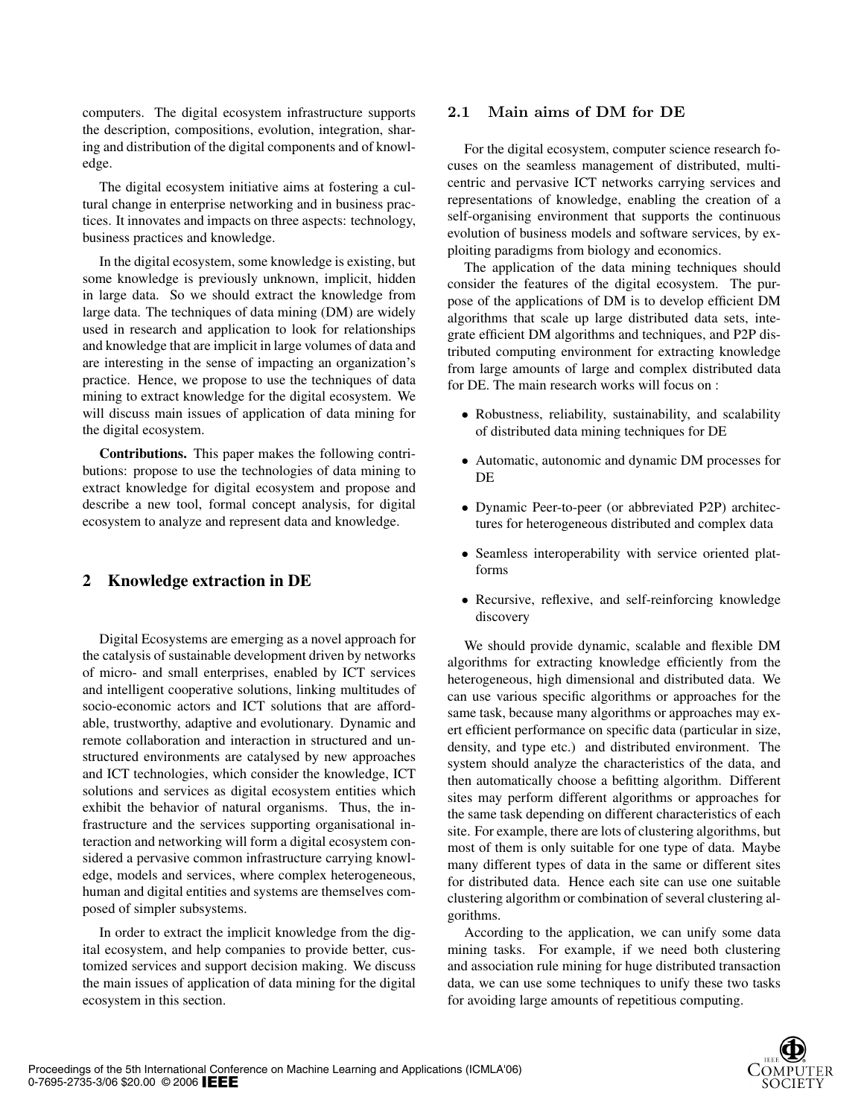computers. The digital ecosystem infrastructure supports the description, compositions, evolution, integration, sharing and distribution of the digital components and of knowledge.

The digital ecosystem initiative aims at fostering a cultural change in enterprise networking and in business practices. It innovates and impacts on three aspects: technology, business practices and knowledge.

In the digital ecosystem, some knowledge is existing, but some knowledge is previously unknown, implicit, hidden in large data. So we should extract the knowledge from large data. The techniques of data mining (DM) are widely used in research and application to look for relationships and knowledge that are implicit in large volumes of data and are interesting in the sense of impacting an organization's practice. Hence, we propose to use the techniques of data mining to extract knowledge for the digital ecosystem. We will discuss main issues of application of data mining for the digital ecosystem.

Contributions. This paper makes the following contributions: propose to use the technologies of data mining to extract knowledge for digital ecosystem and propose and describe a new tool, formal concept analysis, for digital ecosystem to analyze and represent data and knowledge.

# 2 Knowledge extraction in DE

Digital Ecosystems are emerging as a novel approach for the catalysis of sustainable development driven by networks of micro- and small enterprises, enabled by ICT services and intelligent cooperative solutions, linking multitudes of socio-economic actors and ICT solutions that are affordable, trustworthy, adaptive and evolutionary. Dynamic and remote collaboration and interaction in structured and unstructured environments are catalysed by new approaches and ICT technologies, which consider the knowledge, ICT solutions and services as digital ecosystem entities which exhibit the behavior of natural organisms. Thus, the infrastructure and the services supporting organisational interaction and networking will form a digital ecosystem considered a pervasive common infrastructure carrying knowledge, models and services, where complex heterogeneous, human and digital entities and systems are themselves composed of simpler subsystems.

In order to extract the implicit knowledge from the digital ecosystem, and help companies to provide better, customized services and support decision making. We discuss the main issues of application of data mining for the digital ecosystem in this section.

#### 2.1 Main aims of DM for DE

For the digital ecosystem, computer science research focuses on the seamless management of distributed, multicentric and pervasive ICT networks carrying services and representations of knowledge, enabling the creation of a self-organising environment that supports the continuous evolution of business models and software services, by exploiting paradigms from biology and economics.

The application of the data mining techniques should consider the features of the digital ecosystem. The purpose of the applications of DM is to develop efficient DM algorithms that scale up large distributed data sets, integrate efficient DM algorithms and techniques, and P2P distributed computing environment for extracting knowledge from large amounts of large and complex distributed data for DE. The main research works will focus on :

- Robustness, reliability, sustainability, and scalability of distributed data mining techniques for DE
- Automatic, autonomic and dynamic DM processes for DE
- Dynamic Peer-to-peer (or abbreviated P2P) architectures for heterogeneous distributed and complex data
- Seamless interoperability with service oriented platforms
- Recursive, reflexive, and self-reinforcing knowledge discovery

We should provide dynamic, scalable and flexible DM algorithms for extracting knowledge efficiently from the heterogeneous, high dimensional and distributed data. We can use various specific algorithms or approaches for the same task, because many algorithms or approaches may exert efficient performance on specific data (particular in size, density, and type etc.) and distributed environment. The system should analyze the characteristics of the data, and then automatically choose a befitting algorithm. Different sites may perform different algorithms or approaches for the same task depending on different characteristics of each site. For example, there are lots of clustering algorithms, but most of them is only suitable for one type of data. Maybe many different types of data in the same or different sites for distributed data. Hence each site can use one suitable clustering algorithm or combination of several clustering algorithms.

According to the application, we can unify some data mining tasks. For example, if we need both clustering and association rule mining for huge distributed transaction data, we can use some techniques to unify these two tasks for avoiding large amounts of repetitious computing.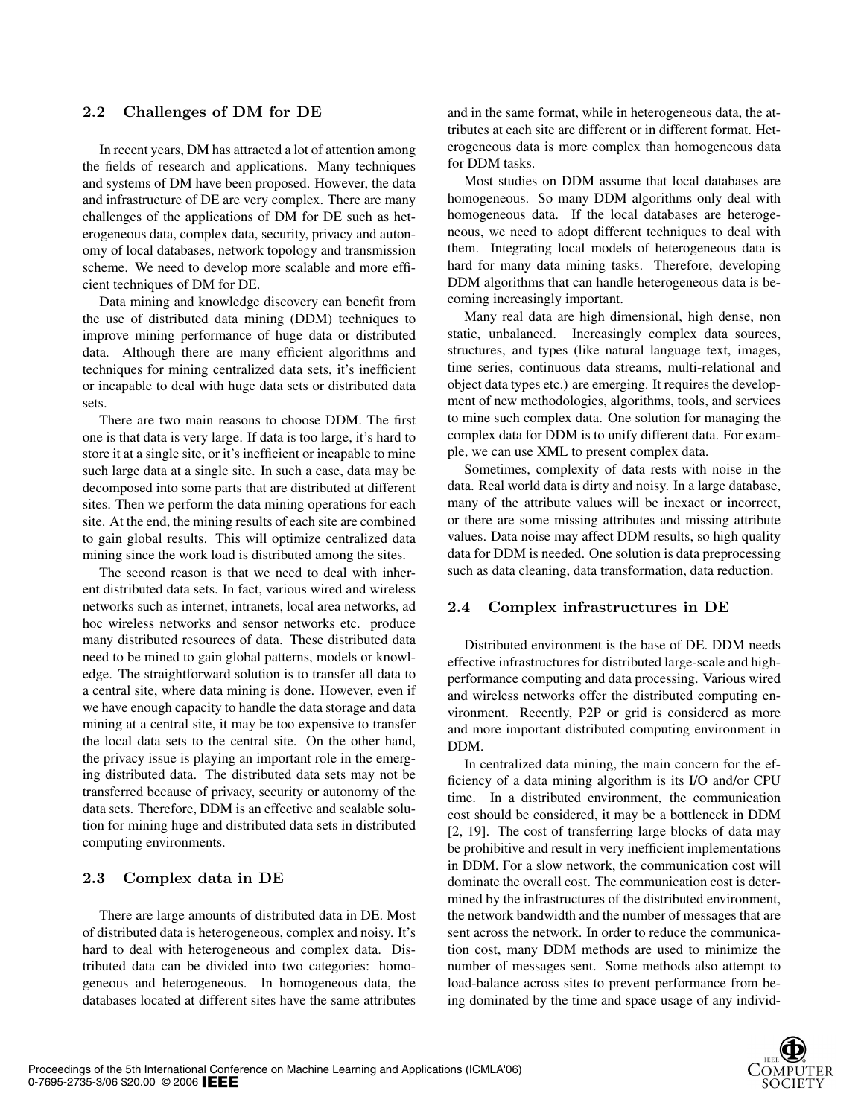### 2.2 Challenges of DM for DE

In recent years, DM has attracted a lot of attention among the fields of research and applications. Many techniques and systems of DM have been proposed. However, the data and infrastructure of DE are very complex. There are many challenges of the applications of DM for DE such as heterogeneous data, complex data, security, privacy and autonomy of local databases, network topology and transmission scheme. We need to develop more scalable and more efficient techniques of DM for DE.

Data mining and knowledge discovery can benefit from the use of distributed data mining (DDM) techniques to improve mining performance of huge data or distributed data. Although there are many efficient algorithms and techniques for mining centralized data sets, it's inefficient or incapable to deal with huge data sets or distributed data sets.

There are two main reasons to choose DDM. The first one is that data is very large. If data is too large, it's hard to store it at a single site, or it's inefficient or incapable to mine such large data at a single site. In such a case, data may be decomposed into some parts that are distributed at different sites. Then we perform the data mining operations for each site. At the end, the mining results of each site are combined to gain global results. This will optimize centralized data mining since the work load is distributed among the sites.

The second reason is that we need to deal with inherent distributed data sets. In fact, various wired and wireless networks such as internet, intranets, local area networks, ad hoc wireless networks and sensor networks etc. produce many distributed resources of data. These distributed data need to be mined to gain global patterns, models or knowledge. The straightforward solution is to transfer all data to a central site, where data mining is done. However, even if we have enough capacity to handle the data storage and data mining at a central site, it may be too expensive to transfer the local data sets to the central site. On the other hand, the privacy issue is playing an important role in the emerging distributed data. The distributed data sets may not be transferred because of privacy, security or autonomy of the data sets. Therefore, DDM is an effective and scalable solution for mining huge and distributed data sets in distributed computing environments.

#### 2.3 Complex data in DE

There are large amounts of distributed data in DE. Most of distributed data is heterogeneous, complex and noisy. It's hard to deal with heterogeneous and complex data. Distributed data can be divided into two categories: homogeneous and heterogeneous. In homogeneous data, the databases located at different sites have the same attributes

and in the same format, while in heterogeneous data, the attributes at each site are different or in different format. Heterogeneous data is more complex than homogeneous data for DDM tasks.

Most studies on DDM assume that local databases are homogeneous. So many DDM algorithms only deal with homogeneous data. If the local databases are heterogeneous, we need to adopt different techniques to deal with them. Integrating local models of heterogeneous data is hard for many data mining tasks. Therefore, developing DDM algorithms that can handle heterogeneous data is becoming increasingly important.

Many real data are high dimensional, high dense, non static, unbalanced. Increasingly complex data sources, structures, and types (like natural language text, images, time series, continuous data streams, multi-relational and object data types etc.) are emerging. It requires the development of new methodologies, algorithms, tools, and services to mine such complex data. One solution for managing the complex data for DDM is to unify different data. For example, we can use XML to present complex data.

Sometimes, complexity of data rests with noise in the data. Real world data is dirty and noisy. In a large database, many of the attribute values will be inexact or incorrect, or there are some missing attributes and missing attribute values. Data noise may affect DDM results, so high quality data for DDM is needed. One solution is data preprocessing such as data cleaning, data transformation, data reduction.

#### 2.4 Complex infrastructures in DE

Distributed environment is the base of DE. DDM needs effective infrastructures for distributed large-scale and highperformance computing and data processing. Various wired and wireless networks offer the distributed computing environment. Recently, P2P or grid is considered as more and more important distributed computing environment in DDM.

In centralized data mining, the main concern for the efficiency of a data mining algorithm is its I/O and/or CPU time. In a distributed environment, the communication cost should be considered, it may be a bottleneck in DDM [2, 19]. The cost of transferring large blocks of data may be prohibitive and result in very inefficient implementations in DDM. For a slow network, the communication cost will dominate the overall cost. The communication cost is determined by the infrastructures of the distributed environment, the network bandwidth and the number of messages that are sent across the network. In order to reduce the communication cost, many DDM methods are used to minimize the number of messages sent. Some methods also attempt to load-balance across sites to prevent performance from being dominated by the time and space usage of any individ-

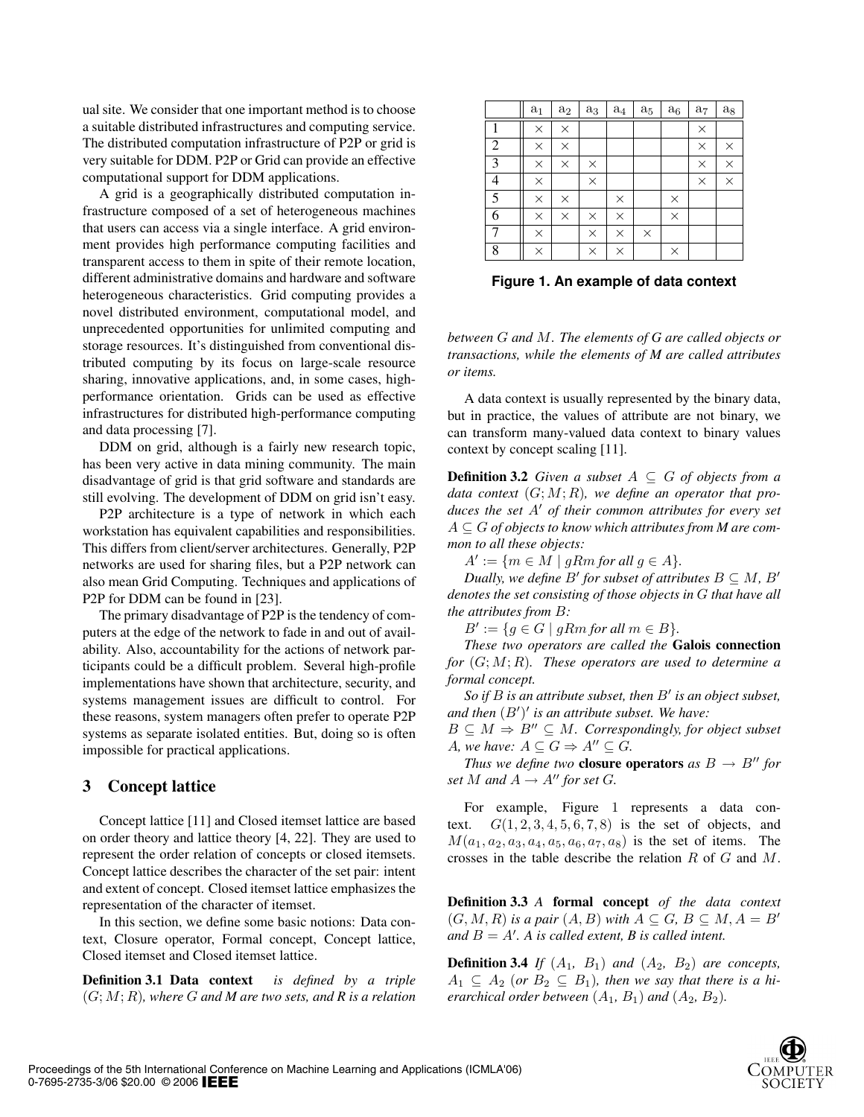ual site. We consider that one important method is to choose a suitable distributed infrastructures and computing service. The distributed computation infrastructure of P2P or grid is very suitable for DDM. P2P or Grid can provide an effective computational support for DDM applications.

A grid is a geographically distributed computation infrastructure composed of a set of heterogeneous machines that users can access via a single interface. A grid environment provides high performance computing facilities and transparent access to them in spite of their remote location, different administrative domains and hardware and software heterogeneous characteristics. Grid computing provides a novel distributed environment, computational model, and unprecedented opportunities for unlimited computing and storage resources. It's distinguished from conventional distributed computing by its focus on large-scale resource sharing, innovative applications, and, in some cases, highperformance orientation. Grids can be used as effective infrastructures for distributed high-performance computing and data processing [7].

DDM on grid, although is a fairly new research topic, has been very active in data mining community. The main disadvantage of grid is that grid software and standards are still evolving. The development of DDM on grid isn't easy.

P2P architecture is a type of network in which each workstation has equivalent capabilities and responsibilities. This differs from client/server architectures. Generally, P2P networks are used for sharing files, but a P2P network can also mean Grid Computing. Techniques and applications of P2P for DDM can be found in [23].

The primary disadvantage of P2P is the tendency of computers at the edge of the network to fade in and out of availability. Also, accountability for the actions of network participants could be a difficult problem. Several high-profile implementations have shown that architecture, security, and systems management issues are difficult to control. For these reasons, system managers often prefer to operate P2P systems as separate isolated entities. But, doing so is often impossible for practical applications.

### 3 Concept lattice

Concept lattice [11] and Closed itemset lattice are based on order theory and lattice theory [4, 22]. They are used to represent the order relation of concepts or closed itemsets. Concept lattice describes the character of the set pair: intent and extent of concept. Closed itemset lattice emphasizes the representation of the character of itemset.

In this section, we define some basic notions: Data context, Closure operator, Formal concept, Concept lattice, Closed itemset and Closed itemset lattice.

Definition 3.1 Data context *is defined by a triple* (G; M; R)*, where* G *and M are two sets, and R is a relation*

|                | $a_1$    | $\rm a_2$ | $\rm a_3$ | $a_4$    | $a_5$    | $\rm a_6$ | $a_7$    | $\rm a_8$ |
|----------------|----------|-----------|-----------|----------|----------|-----------|----------|-----------|
| 1              | $\times$ | $\times$  |           |          |          |           | $\times$ |           |
| $\overline{c}$ | $\times$ | $\times$  |           |          |          |           | $\times$ | $\times$  |
| $\overline{3}$ | $\times$ | $\times$  | $\times$  |          |          |           | $\times$ | $\times$  |
| $\overline{4}$ | $\times$ |           | $\times$  |          |          |           | $\times$ | $\times$  |
| $\overline{5}$ | $\times$ | $\times$  |           | $\times$ |          | $\times$  |          |           |
| 6              | $\times$ | $\times$  | $\times$  | $\times$ |          | $\times$  |          |           |
| 7              | $\times$ |           | $\times$  | $\times$ | $\times$ |           |          |           |
| 8              | $\times$ |           | $\times$  | ×        |          | $\times$  |          |           |

**Figure 1. An example of data context**

*between* G *and* M*. The elements of G are called objects or transactions, while the elements of M are called attributes or items.*

A data context is usually represented by the binary data, but in practice, the values of attribute are not binary, we can transform many-valued data context to binary values context by concept scaling [11].

**Definition 3.2** *Given a subset*  $A \subseteq G$  *of objects from a data context* (G; M; R)*, we define an operator that produces the set A' of their common attributes for every set* A ⊆ G *of objects to know which attributes from M are common to all these objects:*

 $A' := \{m \in M \mid gRm \text{ for all } g \in A\}.$ 

*Dually, we define*  $B'$  *for subset of attributes*  $B \subseteq M$ *,*  $B'$ *denotes the set consisting of those objects in* G *that have all the attributes from* B*:*

 $B' := \{g \in G \mid gRm \text{ for all } m \in B\}.$ 

*These two operators are called the* Galois connection *for* (G; M; R)*. These operators are used to determine a formal concept.*

*So if B is an attribute subset, then B' is an object subset,* and then  $(B')'$  is an attribute subset. We have:

 $B \subseteq M \Rightarrow B'' \subseteq M$ *. Correspondingly, for object subset A*, we have:  $A \subseteq G \Rightarrow A'' \subseteq G$ .

*Thus we define two* **closure operators** *as*  $B \rightarrow B''$  *for set*  $M$  *and*  $A \rightarrow A''$  *for set*  $G$ *.* 

For example, Figure 1 represents a data context.  $G(1, 2, 3, 4, 5, 6, 7, 8)$  is the set of objects, and  $M(a_1, a_2, a_3, a_4, a_5, a_6, a_7, a_8)$  is the set of items. The crosses in the table describe the relation R of G and M.

Definition 3.3 *A* formal concept *of the data context*  $(G, M, R)$  *is a pair*  $(A, B)$  *with*  $A \subseteq G$ ,  $B \subseteq M$ ,  $A = B$ <sup>*i*</sup> and  $B = A'$ . A is called extent, B is called intent.

**Definition 3.4** *If*  $(A_1, B_1)$  *and*  $(A_2, B_2)$  *are concepts,*  $A_1 \subseteq A_2$  (or  $B_2 \subseteq B_1$ ), then we say that there is a hi*erarchical order between*  $(A_1, B_1)$  *and*  $(A_2, B_2)$ *.* 

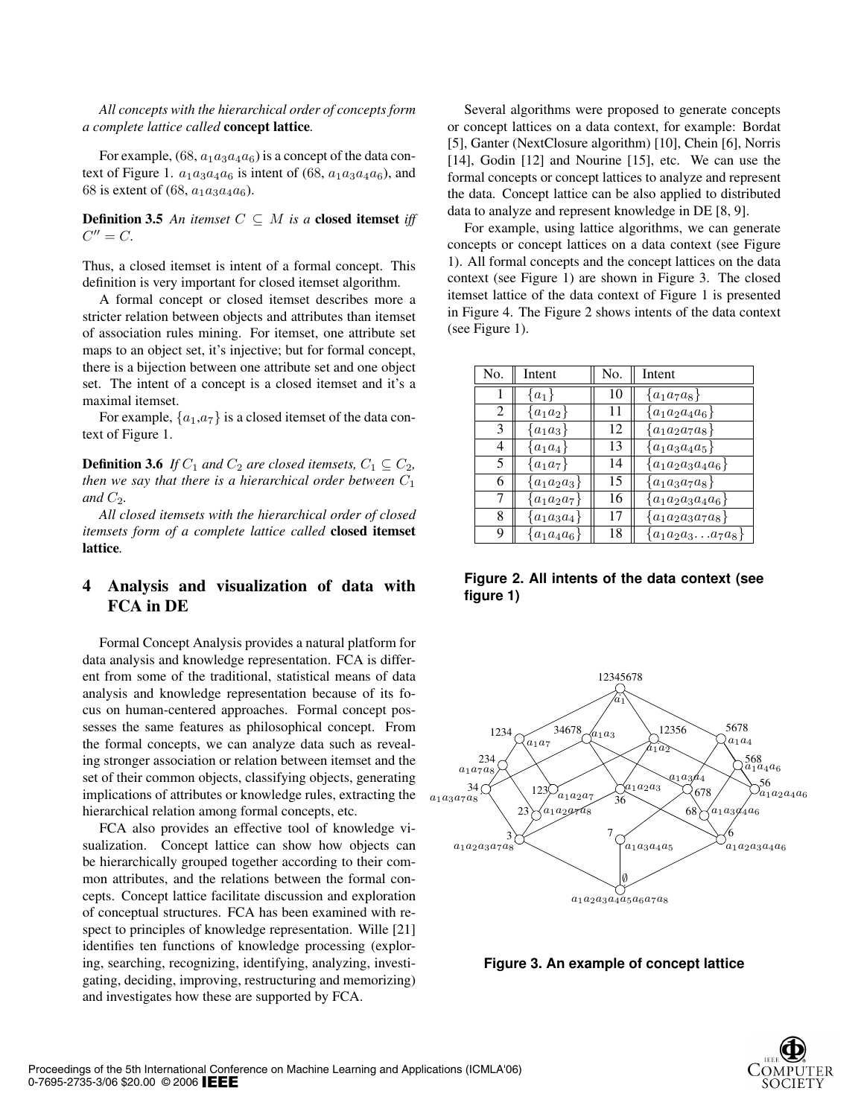*All concepts with the hierarchical order of concepts form a complete lattice called* concept lattice*.*

For example,  $(68, a_1 a_3 a_4 a_6)$  is a concept of the data context of Figure 1.  $a_1a_3a_4a_6$  is intent of (68,  $a_1a_3a_4a_6$ ), and 68 is extent of (68,  $a_1 a_3 a_4 a_6$ ).

**Definition 3.5** An itemset  $C \subseteq M$  is a closed itemset iff  $C'' = C$ .

Thus, a closed itemset is intent of a formal concept. This definition is very important for closed itemset algorithm.

A formal concept or closed itemset describes more a stricter relation between objects and attributes than itemset of association rules mining. For itemset, one attribute set maps to an object set, it's injective; but for formal concept, there is a bijection between one attribute set and one object set. The intent of a concept is a closed itemset and it's a maximal itemset.

For example,  $\{a_1, a_7\}$  is a closed itemset of the data context of Figure 1.

**Definition 3.6** *If*  $C_1$  *and*  $C_2$  *are closed itemsets,*  $C_1 \subseteq C_2$ *, then we say that there is a hierarchical order between*  $C_1$ and  $C_2$ .

*All closed itemsets with the hierarchical order of closed itemsets form of a complete lattice called* closed itemset lattice*.*

# 4 Analysis and visualization of data with FCA in DE

Formal Concept Analysis provides a natural platform for data analysis and knowledge representation. FCA is different from some of the traditional, statistical means of data analysis and knowledge representation because of its focus on human-centered approaches. Formal concept possesses the same features as philosophical concept. From the formal concepts, we can analyze data such as revealing stronger association or relation between itemset and the set of their common objects, classifying objects, generating implications of attributes or knowledge rules, extracting the hierarchical relation among formal concepts, etc.

FCA also provides an effective tool of knowledge visualization. Concept lattice can show how objects can be hierarchically grouped together according to their common attributes, and the relations between the formal concepts. Concept lattice facilitate discussion and exploration of conceptual structures. FCA has been examined with respect to principles of knowledge representation. Wille [21] identifies ten functions of knowledge processing (exploring, searching, recognizing, identifying, analyzing, investigating, deciding, improving, restructuring and memorizing) and investigates how these are supported by FCA.

Several algorithms were proposed to generate concepts or concept lattices on a data context, for example: Bordat [5], Ganter (NextClosure algorithm) [10], Chein [6], Norris [14], Godin [12] and Nourine [15], etc. We can use the formal concepts or concept lattices to analyze and represent the data. Concept lattice can be also applied to distributed data to analyze and represent knowledge in DE [8, 9].

For example, using lattice algorithms, we can generate concepts or concept lattices on a data context (see Figure 1). All formal concepts and the concept lattices on the data context (see Figure 1) are shown in Figure 3. The closed itemset lattice of the data context of Figure 1 is presented in Figure 4. The Figure 2 shows intents of the data context (see Figure 1).

| No. | Intent          | No. | Intent                |
|-----|-----------------|-----|-----------------------|
|     | $\{a_1\}$       | 10  | $\{a_1a_7a_8\}$       |
| 2   | $\{a_1a_2\}$    | 11  | $a_1a_2a_4a_6$        |
| 3   | $\{a_1a_3\}$    | 12  | $a_1a_2a_7a_8\}$      |
| 4   | $\{a_1a_4\}$    | 13  | $a_1a_3a_4a_5$        |
| 5   | $\{a_1a_7\}$    | 14  | $\{a_1a_2a_3a_4a_6\}$ |
| 6   | $a_1a_2a_3$     | 15  | $\{a_1a_3a_7a_8\}$    |
| 7   | $a_1a_2a_7$     | 16  | $a_1a_2a_3a_4a_6$     |
| 8   | $a_1a_3a_4$     | 17  | $\{a_1a_2a_3a_7a_8\}$ |
| 9   | $\{a_1a_4a_6\}$ | 18  | $\{a_1a_2a_3a_7a_8\}$ |

**Figure 2. All intents of the data context (see figure 1)**



**Figure 3. An example of concept lattice**